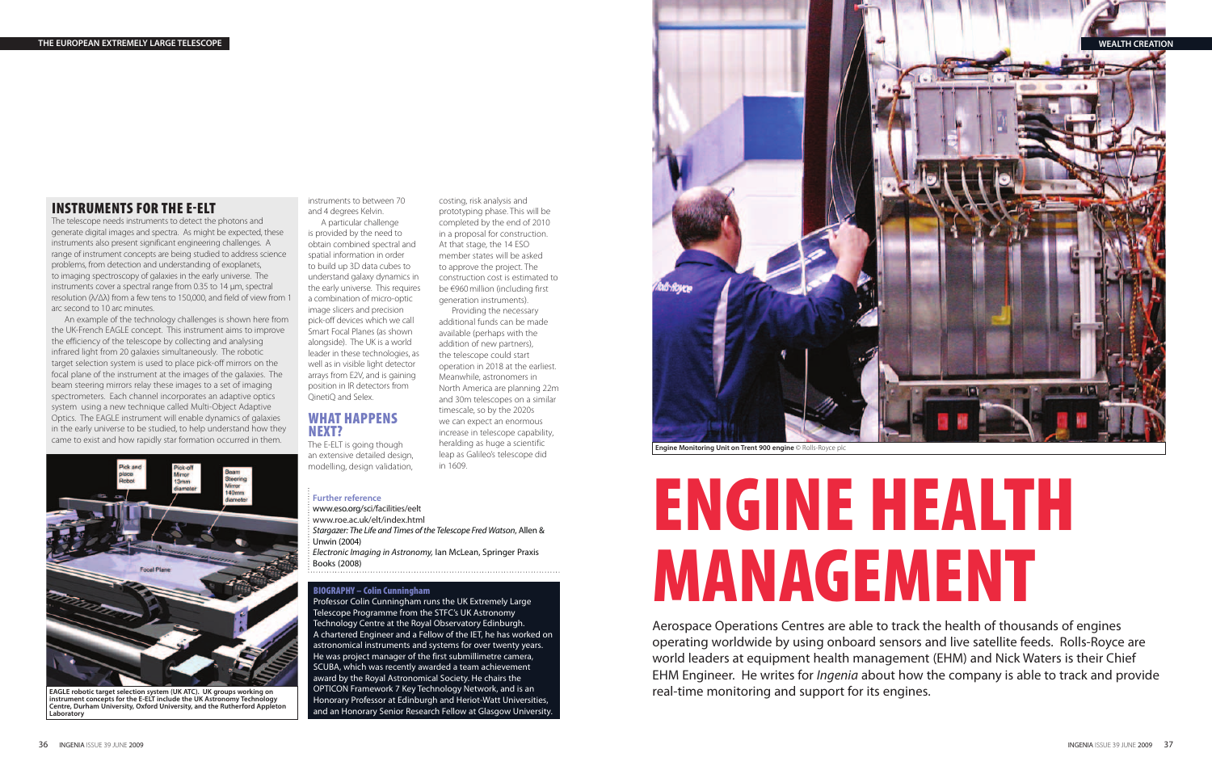

# **ENGINE HEALTH MANAGEMENT**

Aerospace Operations Centres are able to track the health of thousands of engines operating worldwide by using onboard sensors and live satellite feeds. Rolls-Royce are world leaders at equipment health management (EHM) and Nick Waters is their Chief EHM Engineer. He writes for *Ingenia* about how the company is able to track and provide real-time monitoring and support for its engines.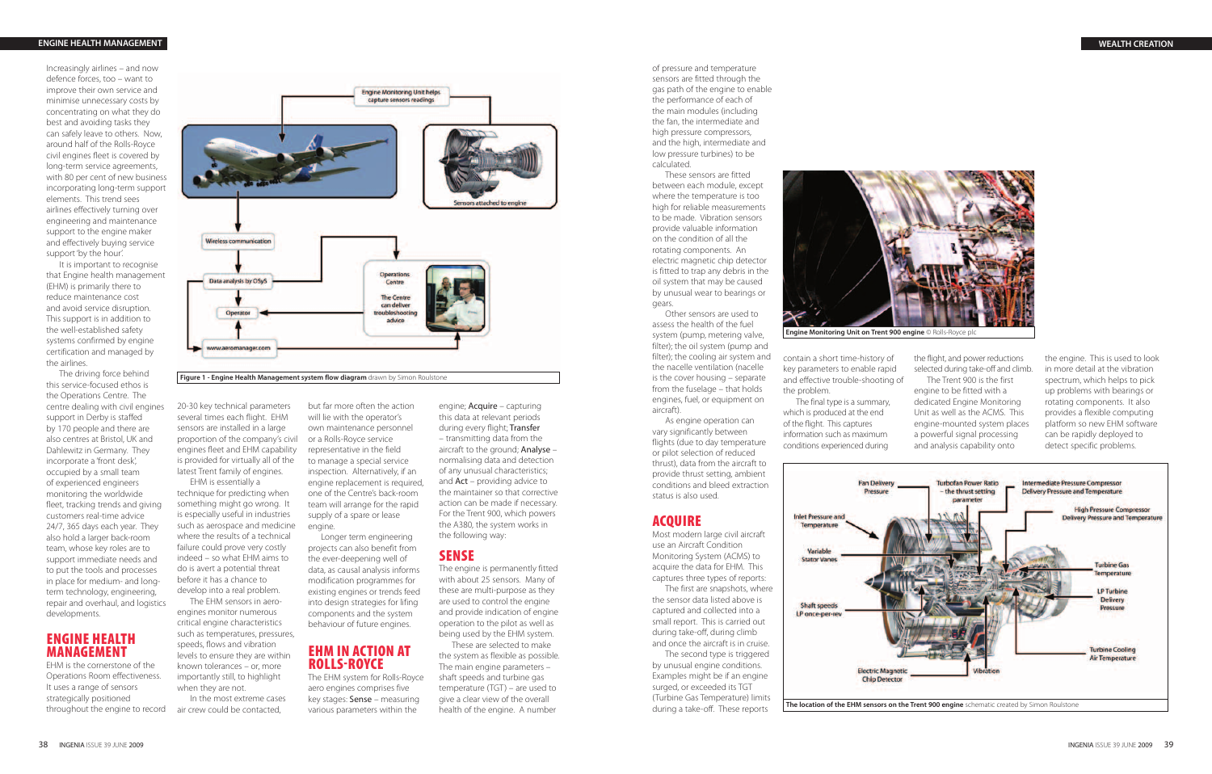of pressure and temperature sensors are fitted through the gas path of the engine to enable the performance of each of the main modules (including the fan, the intermediate and high pressure compressors, and the high, intermediate and low pressure turbines) to be calculated.

These sensors are fitted between each module, except where the temperature is too high for reliable measurements to be made. Vibration sensors provide valuable information on the condition of all the rotating components. An electric magnetic chip detector is fitted to trap any debris in the oil system that may be caused by unusual wear to bearings or gears.

Other sensors are used to assess the health of the fuel system (pump, metering valve, filter); the oil system (pump and filter); the cooling air system and the nacelle ventilation (nacelle is the cover housing – separate from the fuselage – that holds engines, fuel, or equipment on aircraft).

As engine operation can vary significantly between flights (due to day temperature or pilot selection of reduced thrust), data from the aircraft to provide thrust setting, ambient conditions and bleed extraction status is also used.

## **ACQUIRE**

Most modern large civil aircraft use an Aircraft Condition Monitoring System (ACMS) to acquire the data for EHM. This captures three types of reports:

The first are snapshots, where the sensor data listed above is captured and collected into a small report. This is carried out during take-off, during climb and once the aircraft is in cruise.

The second type is triggered by unusual engine conditions. Examples might be if an engine surged, or exceeded its TGT (Turbine Gas Temperature) limits during a take-off. These reports

the engine. This is used to look in more detail at the vibration spectrum, which helps to pick up problems with bearings or rotating components. It also provides a flexible computing platform so new EHM software can be rapidly deployed to detect specific problems.





**Engine Monitoring Unit on Trent 900 engine** © Rolls-Royce plc

contain a short time-history of key parameters to enable rapid and effective trouble-shooting of

the problem.

Variable **Stator Vanes** 

The final type is a summary, which is produced at the end of the flight. This captures information such as maximum conditions experienced during

the flight, and power reductions selected during take-off and climb. The Trent 900 is the first

engine to be fitted with a dedicated Engine Monitoring Unit as well as the ACMS. This engine-mounted system places a powerful signal processing and analysis capability onto

## **EHM IN ACTION AT ROLLS-ROYCE**

Increasingly airlines – and now defence forces, too – want to improve their own service and minimise unnecessary costs by concentrating on what they do best and avoiding tasks they can safely leave to others. Now, around half of the Rolls-Royce civil engines fleet is covered by long-term service agreements, with 80 per cent of new business incorporating long-term support elements. This trend sees airlines effectively turning over engineering and maintenance support to the engine maker and effectively buying service support 'by the hour'.

It is important to recognise that Engine health management (EHM) is primarily there to reduce maintenance cost and avoid service disruption. This support is in addition to the well-established safety systems confirmed by engine certification and managed by the airlines.

The driving force behind this service-focused ethos is the Operations Centre. The centre dealing with civil engines support in Derby is staffed by 170 people and there are also centres at Bristol, UK and Dahlewitz in Germany. They incorporate a 'front desk', occupied by a small team of experienced engineers monitoring the worldwide fleet, tracking trends and giving customers real-time advice 24/7, 365 days each year. They also hold a larger back-room team, whose key roles are to support immediate needs and to put the tools and processes in place for medium- and longterm technology, engineering, repair and overhaul, and logistics developments.

# **ENGINE HEALTH MANAGEMENT**

EHM is the cornerstone of the Operations Room effectiveness. It uses a range of sensors strategically positioned throughout the engine to record 20-30 key technical parameters several times each flight. EHM sensors are installed in a large proportion of the company's civil or a Rolls-Royce service engines fleet and EHM capability is provided for virtually all of the latest Trent family of engines.

EHM is essentially a technique for predicting when something might go wrong. It is especially useful in industries such as aerospace and medicine where the results of a technical failure could prove very costly indeed – so what EHM aims to do is avert a potential threat before it has a chance to develop into a real problem.

The EHM sensors in aeroengines monitor numerous critical engine characteristics such as temperatures, pressures, speeds, flows and vibration levels to ensure they are within known tolerances – or, more importantly still, to highlight when they are not.

In the most extreme cases air crew could be contacted,

but far more often the action

will lie with the operator's own maintenance personnel representative in the field to manage a special service inspection. Alternatively, if an engine replacement is required, one of the Centre's back-room team will arrange for the rapid supply of a spare or lease engine.

Longer term engineering projects can also benefit from the ever-deepening well of data, as causal analysis informs modification programmes for existing engines or trends feed into design strategies for lifing components and the system behaviour of future engines.

The EHM system for Rolls-Royce aero engines comprises five key stages: Sense – measuring various parameters within the

engine; Acquire – capturing this data at relevant periods during every flight; Transfer – transmitting data from the aircraft to the ground; Analyse – normalising data and detection of any unusual characteristics; and  $Act -$  providing advice to the maintainer so that corrective action can be made if necessary. For the Trent 900, which powers the A380, the system works in the following way:

## **SENSE**

The engine is permanently fitted with about 25 sensors. Many of these are multi-purpose as they are used to control the engine and provide indication of engine operation to the pilot as well as being used by the EHM system.

These are selected to make the system as flexible as possible. The main engine parameters – shaft speeds and turbine gas temperature (TGT) – are used to give a clear view of the overall health of the engine. A number



#### **ENGINE HEALTH MANAGEMENT**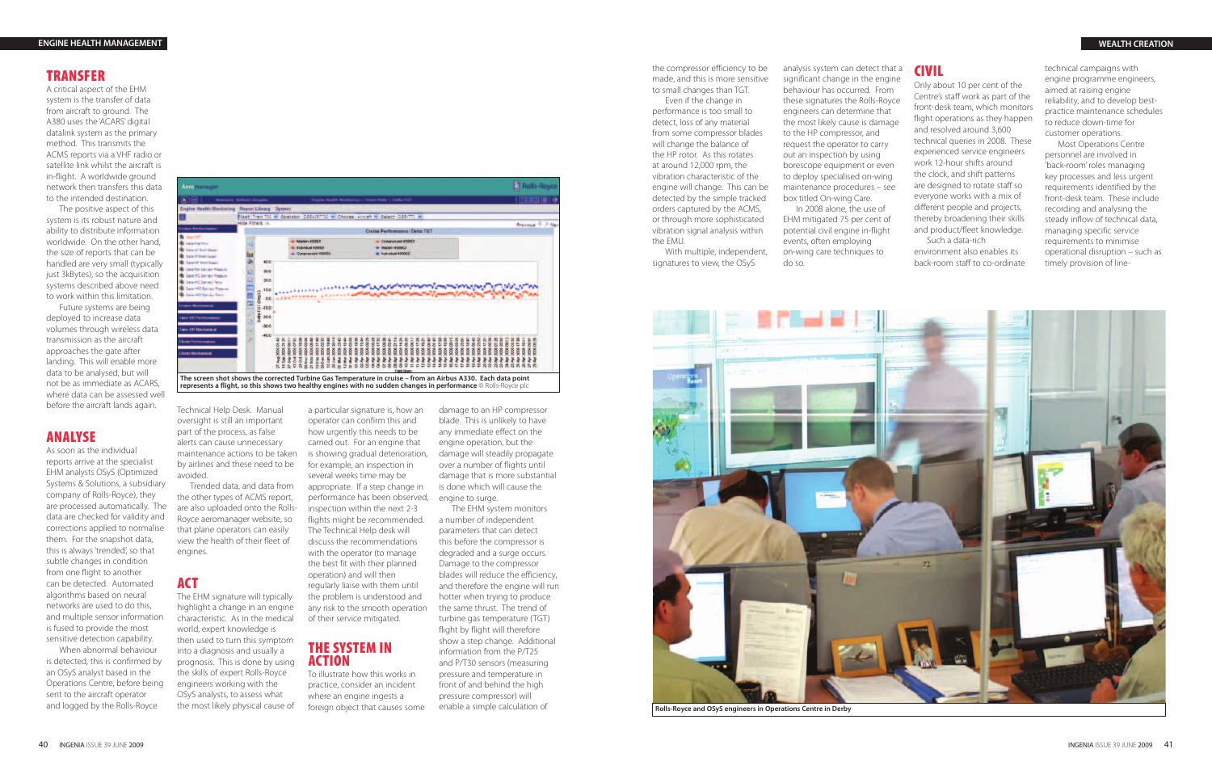the compressor efficiency to be made, and this is more sensitive to small changes than TGT.

Even if the change in performance is too small to detect, loss of any material from some compressor blades will change the balance of the HP rotor. As this rotates at around 12,000 rpm, the vibration characteristic of the engine will change. This can be detected by the simple tracked orders captured by the ACMS, or through more sophisticated vibration signal analysis within the EMU.

With multiple, independent, signatures to view, the OSyS

analysis system can detect that a significant change in the engine behaviour has occurred. From these signatures the Rolls-Royce engineers can determine that the most likely cause is damage to the HP compressor, and request the operator to carry out an inspection by using borescope equipment or even to deploy specialised on-wing maintenance procedures – see box titled On-wing Care. In 2008 alone, the use of EHM mitigated 75 per cent of potential civil engine in-flight events, often employing on-wing care techniques to

do so.

# **CIVIL**

Only about 10 per cent of the Centre's staff work as part of the front-desk team, which monitors flight operations as they happen and resolved around 3,600 technical queries in 2008. These experienced service engineers work 12-hour shifts around the clock, and shift patterns are designed to rotate staff so everyone works with a mix of different people and projects, thereby broadening their skills and product/fleet knowledge. Such a data-rich

environment also enables its back-room staff to co-ordinate technical campaigns with engine programme engineers, aimed at raising engine reliability, and to develop bestpractice maintenance schedules to reduce down-time for customer operations.

Most Operations Centre personnel are involved in 'back-room' roles managing key processes and less urgent requirements identified by the front-desk team. These include recording and analysing the steady inflow of technical data, managing specific service requirements to minimise operational disruption – such as timely provision of line-



**Rolls-Royce and OSyS engineers in Operations Centre in Derby**

# **TRANSFER**

A critical aspect of the EHM system is the transfer of data from aircraft to ground. The A380 uses the 'ACARS' digital datalink system as the primary method. This transmits the ACMS reports via a VHF radio or satellite link whilst the aircraft is in-flight. A worldwide ground network then transfers this data to the intended destination.

The positive aspect of this system is its robust nature and ability to distribute information worldwide. On the other hand, the size of reports that can be handled are very small (typically just 3kBytes), so the acquisition systems described above need to work within this limitation.

Future systems are being deployed to increase data volumes through wireless data transmission as the aircraft approaches the gate after landing. This will enable more data to be analysed, but will not be as immediate as ACARS, where data can be assessed well before the aircraft lands again.

## **ANALYSE**

As soon as the individual reports arrive at the specialist EHM analysts OSyS (Optimized Systems & Solutions, a subsidiary company of Rolls-Royce), they are processed automatically. The data are checked for validity and corrections applied to normalise them. For the snapshot data, this is always 'trended', so that subtle changes in condition from one flight to another can be detected. Automated algorithms based on neural networks are used to do this, and multiple sensor information is fused to provide the most sensitive detection capability.

When abnormal behaviour is detected, this is confirmed by an OSyS analyst based in the Operations Centre, before being sent to the aircraft operator and logged by the Rolls-Royce

Technical Help Desk. Manual oversight is still an important part of the process, as false alerts can cause unnecessary maintenance actions to be taken by airlines and these need to be avoided.

Trended data, and data from the other types of ACMS report, are also uploaded onto the Rolls-Royce aeromanager website, so that plane operators can easily view the health of their fleet of engines.

#### **ACT**

The EHM signature will typically highlight a change in an engine characteristic. As in the medical world, expert knowledge is then used to turn this symptom into a diagnosis and usually a prognosis. This is done by using the skills of expert Rolls-Royce engineers working with the OSyS analysts, to assess what the most likely physical cause of operator can confirm this and how urgently this needs to be carried out. For an engine that is showing gradual deterioration, for example, an inspection in several weeks time may be appropriate. If a step change in performance has been observed, inspection within the next 2-3 flights might be recommended. The Technical Help desk will discuss the recommendations with the operator (to manage the best fit with their planned operation) and will then regularly liaise with them until the problem is understood and any risk to the smooth operation of their service mitigated.

#### **THE SYSTEM IN ACTION**

To illustrate how this works in practice, consider an incident where an engine ingests a foreign object that causes some



damage to an HP compressor blade. This is unlikely to have any immediate effect on the engine operation, but the damage will steadily propagate over a number of flights until damage that is more substantial is done which will cause the engine to surge.

The EHM system monitors a number of independent parameters that can detect this before the compressor is degraded and a surge occurs. Damage to the compressor blades will reduce the efficiency, and therefore the engine will run hotter when trying to produce the same thrust. The trend of turbine gas temperature (TGT) flight by flight will therefore show a step change. Additional information from the P/T25 and P/T30 sensors (measuring pressure and temperature in front of and behind the high pressure compressor) will enable a simple calculation of

#### **ENGINE HEALTH MANAGEMENT**